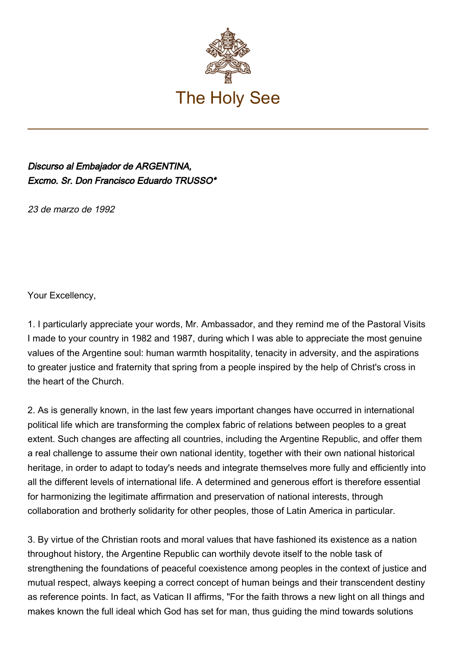

## Discurso al Embajador de ARGENTINA, Excmo. Sr. Don Francisco Eduardo TRUSSO\*

23 de marzo de 1992

Your Excellency,

1. I particularly appreciate your words, Mr. Ambassador, and they remind me of the Pastoral Visits I made to your country in 1982 and 1987, during which I was able to appreciate the most genuine values of the Argentine soul: human warmth hospitality, tenacity in adversity, and the aspirations to greater justice and fraternity that spring from a people inspired by the help of Christ's cross in the heart of the Church.

2. As is generally known, in the last few years important changes have occurred in international political life which are transforming the complex fabric of relations between peoples to a great extent. Such changes are affecting all countries, including the Argentine Republic, and offer them a real challenge to assume their own national identity, together with their own national historical heritage, in order to adapt to today's needs and integrate themselves more fully and efficiently into all the different levels of international life. A determined and generous effort is therefore essential for harmonizing the legitimate affirmation and preservation of national interests, through collaboration and brotherly solidarity for other peoples, those of Latin America in particular.

3. By virtue of the Christian roots and moral values that have fashioned its existence as a nation throughout history, the Argentine Republic can worthily devote itself to the noble task of strengthening the foundations of peaceful coexistence among peoples in the context of justice and mutual respect, always keeping a correct concept of human beings and their transcendent destiny as reference points. In fact, as Vatican II affirms, "For the faith throws a new light on all things and makes known the full ideal which God has set for man, thus guiding the mind towards solutions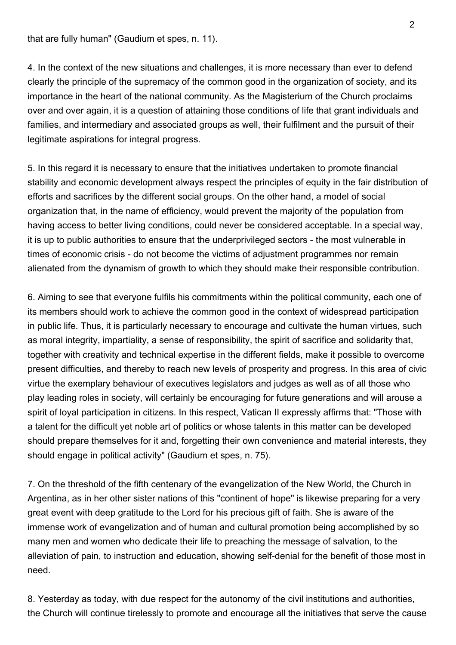that are fully human" (Gaudium et spes, n. 11).

4. In the context of the new situations and challenges, it is more necessary than ever to defend clearly the principle of the supremacy of the common good in the organization of society, and its importance in the heart of the national community. As the Magisterium of the Church proclaims over and over again, it is a question of attaining those conditions of life that grant individuals and families, and intermediary and associated groups as well, their fulfilment and the pursuit of their legitimate aspirations for integral progress.

5. In this regard it is necessary to ensure that the initiatives undertaken to promote financial stability and economic development always respect the principles of equity in the fair distribution of efforts and sacrifices by the different social groups. On the other hand, a model of social organization that, in the name of efficiency, would prevent the majority of the population from having access to better living conditions, could never be considered acceptable. In a special way, it is up to public authorities to ensure that the underprivileged sectors - the most vulnerable in times of economic crisis - do not become the victims of adjustment programmes nor remain alienated from the dynamism of growth to which they should make their responsible contribution.

6. Aiming to see that everyone fulfils his commitments within the political community, each one of its members should work to achieve the common good in the context of widespread participation in public life. Thus, it is particularly necessary to encourage and cultivate the human virtues, such as moral integrity, impartiality, a sense of responsibility, the spirit of sacrifice and solidarity that, together with creativity and technical expertise in the different fields, make it possible to overcome present difficulties, and thereby to reach new levels of prosperity and progress. In this area of civic virtue the exemplary behaviour of executives legislators and judges as well as of all those who play leading roles in society, will certainly be encouraging for future generations and will arouse a spirit of loyal participation in citizens. In this respect, Vatican II expressly affirms that: "Those with a talent for the difficult yet noble art of politics or whose talents in this matter can be developed should prepare themselves for it and, forgetting their own convenience and material interests, they should engage in political activity" (Gaudium et spes, n. 75).

7. On the threshold of the fifth centenary of the evangelization of the New World, the Church in Argentina, as in her other sister nations of this "continent of hope" is likewise preparing for a very great event with deep gratitude to the Lord for his precious gift of faith. She is aware of the immense work of evangelization and of human and cultural promotion being accomplished by so many men and women who dedicate their life to preaching the message of salvation, to the alleviation of pain, to instruction and education, showing self‑denial for the benefit of those most in need.

8. Yesterday as today, with due respect for the autonomy of the civil institutions and authorities, the Church will continue tirelessly to promote and encourage all the initiatives that serve the cause